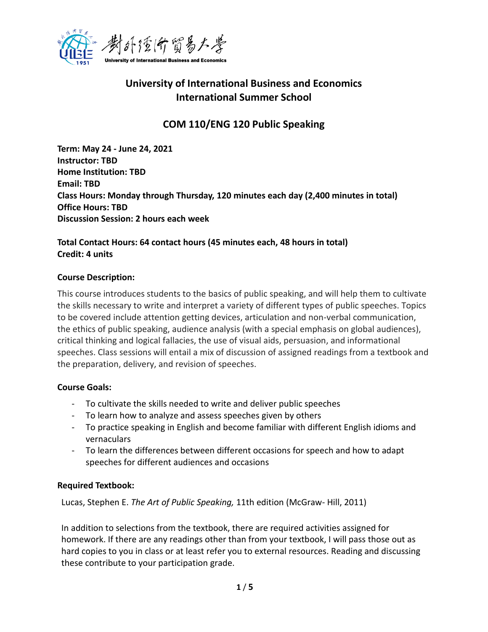

# **University of International Business and Economics International Summer School**

# **COM 110/ENG 120 Public Speaking**

**Term: May 24 - June 24, 2021 Instructor: TBD Home Institution: TBD Email: TBD Class Hours: Monday through Thursday, 120 minutes each day (2,400 minutes in total) Office Hours: TBD Discussion Session: 2 hours each week** 

## **Total Contact Hours: 64 contact hours (45 minutes each, 48 hours in total) Credit: 4 units**

### **Course Description:**

This course introduces students to the basics of public speaking, and will help them to cultivate the skills necessary to write and interpret a variety of different types of public speeches. Topics to be covered include attention getting devices, articulation and non-verbal communication, the ethics of public speaking, audience analysis (with a special emphasis on global audiences), critical thinking and logical fallacies, the use of visual aids, persuasion, and informational speeches. Class sessions will entail a mix of discussion of assigned readings from a textbook and the preparation, delivery, and revision of speeches.

### **Course Goals:**

- To cultivate the skills needed to write and deliver public speeches
- To learn how to analyze and assess speeches given by others
- To practice speaking in English and become familiar with different English idioms and vernaculars
- To learn the differences between different occasions for speech and how to adapt speeches for different audiences and occasions

### **Required Textbook:**

Lucas, Stephen E. *The Art of Public Speaking,* 11th edition (McGraw- Hill, 2011)

In addition to selections from the textbook, there are required activities assigned for homework. If there are any readings other than from your textbook, I will pass those out as hard copies to you in class or at least refer you to external resources. Reading and discussing these contribute to your participation grade.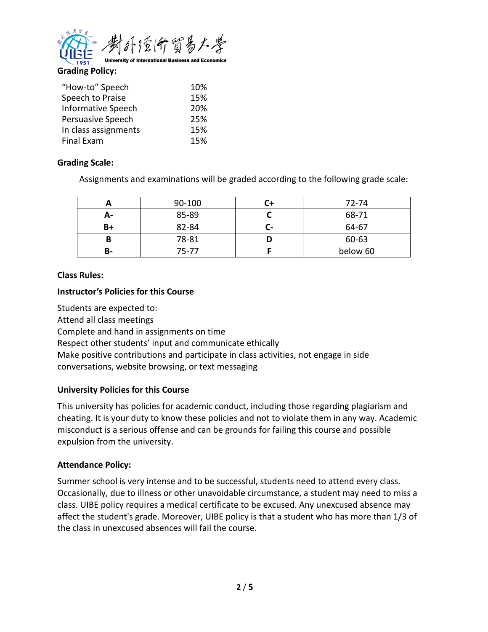

**Grading Policy:**

| "How-to" Speech           | 10% |
|---------------------------|-----|
| Speech to Praise          | 15% |
| <b>Informative Speech</b> | 20% |
| Persuasive Speech         | 25% |
| In class assignments      | 15% |
| Final Exam                | 15% |

### **Grading Scale:**

Assignments and examinations will be graded according to the following grade scale:

|    | 90-100 |    | 72-74    |
|----|--------|----|----------|
| Д- | 85-89  |    | 68-71    |
| B+ | 82-84  | л. | 64-67    |
|    | 78-81  |    | 60-63    |
| в- | 75-77  |    | below 60 |

### **Class Rules:**

#### **Instructor's Policies for this Course**

Students are expected to: Attend all class meetings Complete and hand in assignments on time Respect other students' input and communicate ethically Make positive contributions and participate in class activities, not engage in side conversations, website browsing, or text messaging

### **University Policies for this Course**

This university has policies for academic conduct, including those regarding plagiarism and cheating. It is your duty to know these policies and not to violate them in any way. Academic misconduct is a serious offense and can be grounds for failing this course and possible expulsion from the university.

### **Attendance Policy:**

Summer school is very intense and to be successful, students need to attend every class. Occasionally, due to illness or other unavoidable circumstance, a student may need to miss a class. UIBE policy requires a medical certificate to be excused. Any unexcused absence may affect the student's grade. Moreover, UIBE policy is that a student who has more than 1/3 of the class in unexcused absences will fail the course.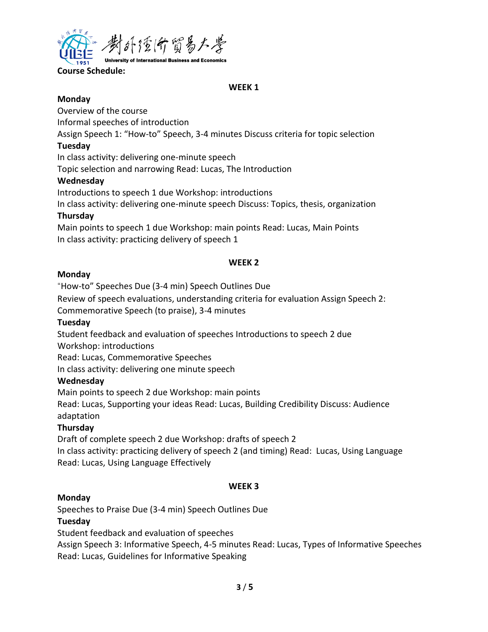

**Course Schedule:** 

#### **WEEK 1**

#### **Monday**

Overview of the course

Informal speeches of introduction

Assign Speech 1: "How-to" Speech, 3-4 minutes Discuss criteria for topic selection

### **Tuesday**

In class activity: delivering one-minute speech

Topic selection and narrowing Read: Lucas, The Introduction

## **Wednesday**

Introductions to speech 1 due Workshop: introductions

In class activity: delivering one-minute speech Discuss: Topics, thesis, organization

## **Thursday**

Main points to speech 1 due Workshop: main points Read: Lucas, Main Points In class activity: practicing delivery of speech 1

## **WEEK 2**

## **Monday**

"How-to" Speeches Due (3-4 min) Speech Outlines Due

Review of speech evaluations, understanding criteria for evaluation Assign Speech 2: Commemorative Speech (to praise), 3-4 minutes

## **Tuesday**

Student feedback and evaluation of speeches Introductions to speech 2 due

Workshop: introductions

Read: Lucas, Commemorative Speeches

In class activity: delivering one minute speech

## **Wednesday**

Main points to speech 2 due Workshop: main points

Read: Lucas, Supporting your ideas Read: Lucas, Building Credibility Discuss: Audience adaptation

## **Thursday**

Draft of complete speech 2 due Workshop: drafts of speech 2

In class activity: practicing delivery of speech 2 (and timing) Read: Lucas, Using Language Read: Lucas, Using Language Effectively

## **WEEK 3**

## **Monday**

Speeches to Praise Due (3-4 min) Speech Outlines Due

## **Tuesday**

Student feedback and evaluation of speeches

Assign Speech 3: Informative Speech, 4-5 minutes Read: Lucas, Types of Informative Speeches Read: Lucas, Guidelines for Informative Speaking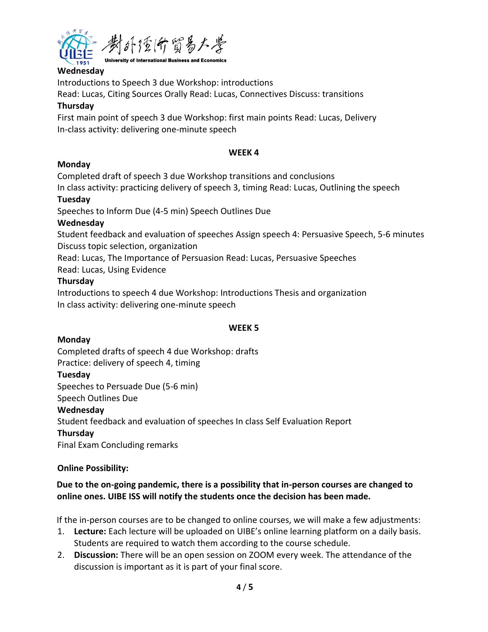

## **Wednesday**

Introductions to Speech 3 due Workshop: introductions

Read: Lucas, Citing Sources Orally Read: Lucas, Connectives Discuss: transitions

### **Thursday**

First main point of speech 3 due Workshop: first main points Read: Lucas, Delivery In-class activity: delivering one-minute speech

### **WEEK 4**

## **Monday**

Completed draft of speech 3 due Workshop transitions and conclusions

In class activity: practicing delivery of speech 3, timing Read: Lucas, Outlining the speech

### **Tuesday**

Speeches to Inform Due (4-5 min) Speech Outlines Due

### **Wednesday**

Student feedback and evaluation of speeches Assign speech 4: Persuasive Speech, 5-6 minutes Discuss topic selection, organization

Read: Lucas, The Importance of Persuasion Read: Lucas, Persuasive Speeches

Read: Lucas, Using Evidence

### **Thursday**

Introductions to speech 4 due Workshop: Introductions Thesis and organization In class activity: delivering one-minute speech

## **WEEK 5**

## **Monday**

Completed drafts of speech 4 due Workshop: drafts Practice: delivery of speech 4, timing

## **Tuesday**

Speeches to Persuade Due (5-6 min)

Speech Outlines Due

### **Wednesday**

Student feedback and evaluation of speeches In class Self Evaluation Report **Thursday** 

Final Exam Concluding remarks

### **Online Possibility:**

## **Due to the on-going pandemic, there is a possibility that in-person courses are changed to online ones. UIBE ISS will notify the students once the decision has been made.**

If the in-person courses are to be changed to online courses, we will make a few adjustments:

- 1. **Lecture:** Each lecture will be uploaded on UIBE's online learning platform on a daily basis. Students are required to watch them according to the course schedule.
- 2. **Discussion:** There will be an open session on ZOOM every week. The attendance of the discussion is important as it is part of your final score.